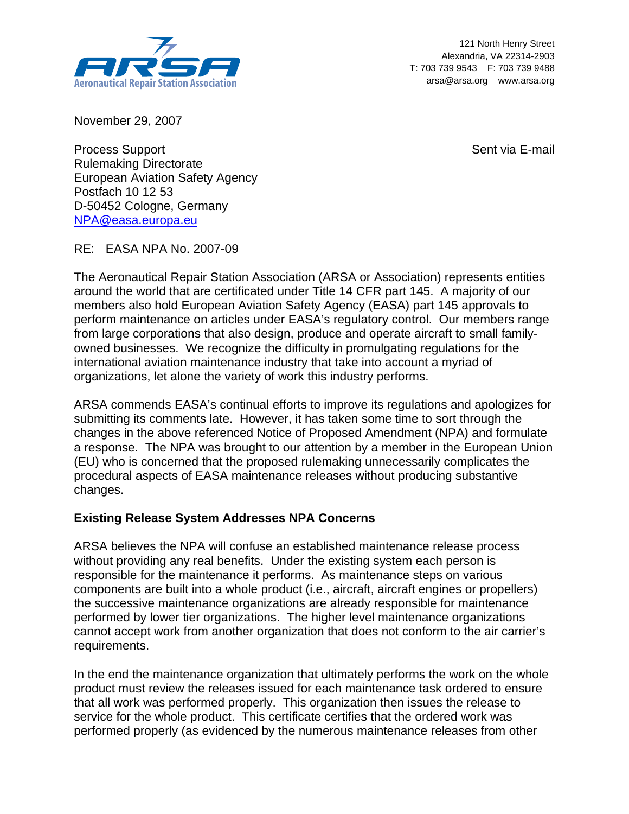

121 North Henry Street Alexandria, VA 22314-2903 T: 703 739 9543 F: 703 739 9488 arsa@arsa.org www.arsa.org

November 29, 2007

Sent via E-mail

Process Support Rulemaking Directorate European Aviation Safety Agency Postfach 10 12 53 D-50452 Cologne, Germany NPA@easa.europa.eu

RE: EASA NPA No. 2007-09

The Aeronautical Repair Station Association (ARSA or Association) represents entities around the world that are certificated under Title 14 CFR part 145. A majority of our members also hold European Aviation Safety Agency (EASA) part 145 approvals to perform maintenance on articles under EASA's regulatory control. Our members range from large corporations that also design, produce and operate aircraft to small familyowned businesses. We recognize the difficulty in promulgating regulations for the international aviation maintenance industry that take into account a myriad of organizations, let alone the variety of work this industry performs.

ARSA commends EASA's continual efforts to improve its regulations and apologizes for submitting its comments late. However, it has taken some time to sort through the changes in the above referenced Notice of Proposed Amendment (NPA) and formulate a response. The NPA was brought to our attention by a member in the European Union (EU) who is concerned that the proposed rulemaking unnecessarily complicates the procedural aspects of EASA maintenance releases without producing substantive changes.

## **Existing Release System Addresses NPA Concerns**

ARSA believes the NPA will confuse an established maintenance release process without providing any real benefits. Under the existing system each person is responsible for the maintenance it performs. As maintenance steps on various components are built into a whole product (i.e., aircraft, aircraft engines or propellers) the successive maintenance organizations are already responsible for maintenance performed by lower tier organizations. The higher level maintenance organizations cannot accept work from another organization that does not conform to the air carrier's requirements.

In the end the maintenance organization that ultimately performs the work on the whole product must review the releases issued for each maintenance task ordered to ensure that all work was performed properly. This organization then issues the release to service for the whole product. This certificate certifies that the ordered work was performed properly (as evidenced by the numerous maintenance releases from other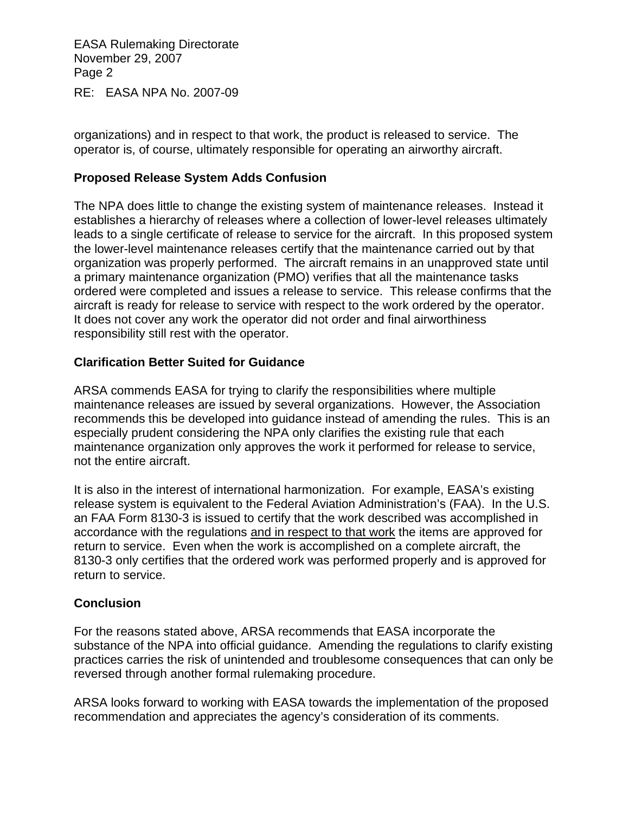EASA Rulemaking Directorate November 29, 2007 Page 2

RE: EASA NPA No. 2007-09

organizations) and in respect to that work, the product is released to service. The operator is, of course, ultimately responsible for operating an airworthy aircraft.

## **Proposed Release System Adds Confusion**

The NPA does little to change the existing system of maintenance releases. Instead it establishes a hierarchy of releases where a collection of lower-level releases ultimately leads to a single certificate of release to service for the aircraft. In this proposed system the lower-level maintenance releases certify that the maintenance carried out by that organization was properly performed. The aircraft remains in an unapproved state until a primary maintenance organization (PMO) verifies that all the maintenance tasks ordered were completed and issues a release to service. This release confirms that the aircraft is ready for release to service with respect to the work ordered by the operator. It does not cover any work the operator did not order and final airworthiness responsibility still rest with the operator.

## **Clarification Better Suited for Guidance**

ARSA commends EASA for trying to clarify the responsibilities where multiple maintenance releases are issued by several organizations. However, the Association recommends this be developed into guidance instead of amending the rules. This is an especially prudent considering the NPA only clarifies the existing rule that each maintenance organization only approves the work it performed for release to service, not the entire aircraft.

It is also in the interest of international harmonization. For example, EASA's existing release system is equivalent to the Federal Aviation Administration's (FAA). In the U.S. an FAA Form 8130-3 is issued to certify that the work described was accomplished in accordance with the regulations and in respect to that work the items are approved for return to service. Even when the work is accomplished on a complete aircraft, the 8130-3 only certifies that the ordered work was performed properly and is approved for return to service.

## **Conclusion**

For the reasons stated above, ARSA recommends that EASA incorporate the substance of the NPA into official guidance. Amending the regulations to clarify existing practices carries the risk of unintended and troublesome consequences that can only be reversed through another formal rulemaking procedure.

ARSA looks forward to working with EASA towards the implementation of the proposed recommendation and appreciates the agency's consideration of its comments.